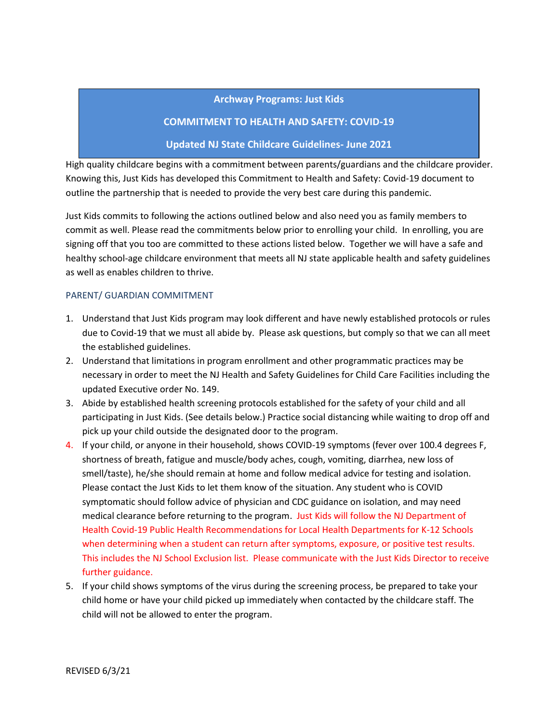### **Archway Programs: Just Kids**

## **COMMITMENT TO HEALTH AND SAFETY: COVID-19**

### **Updated NJ State Childcare Guidelines- June 2021**

High quality childcare begins with a commitment between parents/guardians and the childcare provider. Knowing this, Just Kids has developed this Commitment to Health and Safety: Covid-19 document to outline the partnership that is needed to provide the very best care during this pandemic.

Just Kids commits to following the actions outlined below and also need you as family members to commit as well. Please read the commitments below prior to enrolling your child. In enrolling, you are signing off that you too are committed to these actions listed below. Together we will have a safe and healthy school-age childcare environment that meets all NJ state applicable health and safety guidelines as well as enables children to thrive.

#### PARENT/ GUARDIAN COMMITMENT

- 1. Understand that Just Kids program may look different and have newly established protocols or rules due to Covid-19 that we must all abide by. Please ask questions, but comply so that we can all meet the established guidelines.
- 2. Understand that limitations in program enrollment and other programmatic practices may be necessary in order to meet the NJ Health and Safety Guidelines for Child Care Facilities including the updated Executive order No. 149.
- 3. Abide by established health screening protocols established for the safety of your child and all participating in Just Kids. (See details below.) Practice social distancing while waiting to drop off and pick up your child outside the designated door to the program.
- 4. If your child, or anyone in their household, shows COVID-19 symptoms (fever over 100.4 degrees F, shortness of breath, fatigue and muscle/body aches, cough, vomiting, diarrhea, new loss of smell/taste), he/she should remain at home and follow medical advice for testing and isolation. Please contact the Just Kids to let them know of the situation. Any student who is COVID symptomatic should follow advice of physician and CDC guidance on isolation, and may need medical clearance before returning to the program. Just Kids will follow the NJ Department of Health Covid-19 Public Health Recommendations for Local Health Departments for K-12 Schools when determining when a student can return after symptoms, exposure, or positive test results. This includes the NJ School Exclusion list. Please communicate with the Just Kids Director to receive further guidance.
- 5. If your child shows symptoms of the virus during the screening process, be prepared to take your child home or have your child picked up immediately when contacted by the childcare staff. The child will not be allowed to enter the program.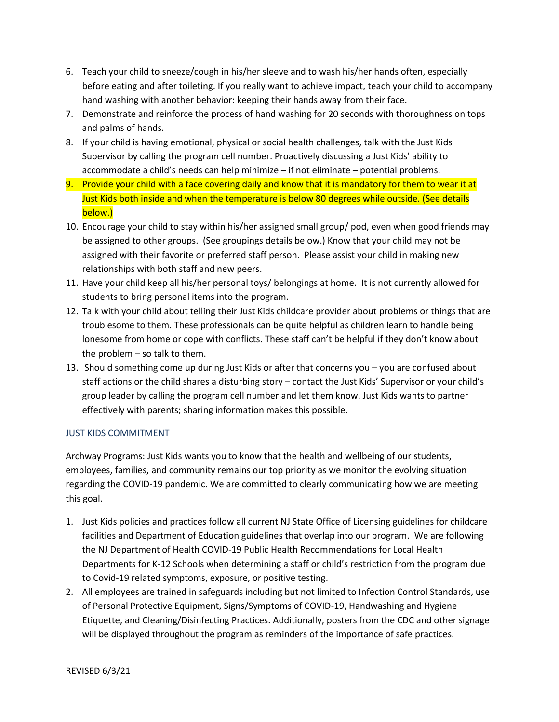- 6. Teach your child to sneeze/cough in his/her sleeve and to wash his/her hands often, especially before eating and after toileting. If you really want to achieve impact, teach your child to accompany hand washing with another behavior: keeping their hands away from their face.
- 7. Demonstrate and reinforce the process of hand washing for 20 seconds with thoroughness on tops and palms of hands.
- 8. If your child is having emotional, physical or social health challenges, talk with the Just Kids Supervisor by calling the program cell number. Proactively discussing a Just Kids' ability to accommodate a child's needs can help minimize – if not eliminate – potential problems.
- 9. Provide your child with a face covering daily and know that it is mandatory for them to wear it at Just Kids both inside and when the temperature is below 80 degrees while outside. (See details below.)
- 10. Encourage your child to stay within his/her assigned small group/ pod, even when good friends may be assigned to other groups. (See groupings details below.) Know that your child may not be assigned with their favorite or preferred staff person. Please assist your child in making new relationships with both staff and new peers.
- 11. Have your child keep all his/her personal toys/ belongings at home. It is not currently allowed for students to bring personal items into the program.
- 12. Talk with your child about telling their Just Kids childcare provider about problems or things that are troublesome to them. These professionals can be quite helpful as children learn to handle being lonesome from home or cope with conflicts. These staff can't be helpful if they don't know about the problem – so talk to them.
- 13. Should something come up during Just Kids or after that concerns you you are confused about staff actions or the child shares a disturbing story – contact the Just Kids' Supervisor or your child's group leader by calling the program cell number and let them know. Just Kids wants to partner effectively with parents; sharing information makes this possible.

# JUST KIDS COMMITMENT

Archway Programs: Just Kids wants you to know that the health and wellbeing of our students, employees, families, and community remains our top priority as we monitor the evolving situation regarding the COVID-19 pandemic. We are committed to clearly communicating how we are meeting this goal.

- 1. Just Kids policies and practices follow all current NJ State Office of Licensing guidelines for childcare facilities and Department of Education guidelines that overlap into our program. We are following the NJ Department of Health COVID-19 Public Health Recommendations for Local Health Departments for K-12 Schools when determining a staff or child's restriction from the program due to Covid-19 related symptoms, exposure, or positive testing.
- 2. All employees are trained in safeguards including but not limited to Infection Control Standards, use of Personal Protective Equipment, Signs/Symptoms of COVID-19, Handwashing and Hygiene Etiquette, and Cleaning/Disinfecting Practices. Additionally, posters from the CDC and other signage will be displayed throughout the program as reminders of the importance of safe practices.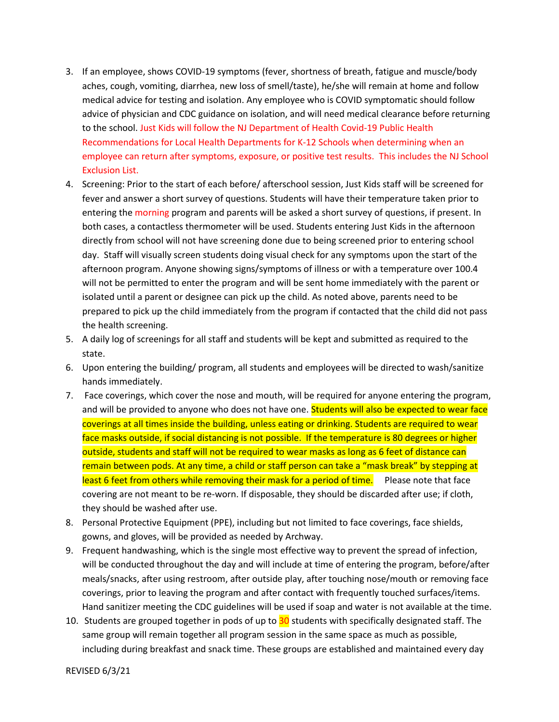- 3. If an employee, shows COVID-19 symptoms (fever, shortness of breath, fatigue and muscle/body aches, cough, vomiting, diarrhea, new loss of smell/taste), he/she will remain at home and follow medical advice for testing and isolation. Any employee who is COVID symptomatic should follow advice of physician and CDC guidance on isolation, and will need medical clearance before returning to the school. Just Kids will follow the NJ Department of Health Covid-19 Public Health Recommendations for Local Health Departments for K-12 Schools when determining when an employee can return after symptoms, exposure, or positive test results. This includes the NJ School Exclusion List.
- 4. Screening: Prior to the start of each before/ afterschool session, Just Kids staff will be screened for fever and answer a short survey of questions. Students will have their temperature taken prior to entering the morning program and parents will be asked a short survey of questions, if present. In both cases, a contactless thermometer will be used. Students entering Just Kids in the afternoon directly from school will not have screening done due to being screened prior to entering school day. Staff will visually screen students doing visual check for any symptoms upon the start of the afternoon program. Anyone showing signs/symptoms of illness or with a temperature over 100.4 will not be permitted to enter the program and will be sent home immediately with the parent or isolated until a parent or designee can pick up the child. As noted above, parents need to be prepared to pick up the child immediately from the program if contacted that the child did not pass the health screening.
- 5. A daily log of screenings for all staff and students will be kept and submitted as required to the state.
- 6. Upon entering the building/ program, all students and employees will be directed to wash/sanitize hands immediately.
- 7. Face coverings, which cover the nose and mouth, will be required for anyone entering the program, and will be provided to anyone who does not have one. Students will also be expected to wear face coverings at all times inside the building, unless eating or drinking. Students are required to wear face masks outside, if social distancing is not possible. If the temperature is 80 degrees or higher outside, students and staff will not be required to wear masks as long as 6 feet of distance can remain between pods. At any time, a child or staff person can take a "mask break" by stepping at least 6 feet from others while removing their mask for a period of time. Please note that face covering are not meant to be re-worn. If disposable, they should be discarded after use; if cloth, they should be washed after use.
- 8. Personal Protective Equipment (PPE), including but not limited to face coverings, face shields, gowns, and gloves, will be provided as needed by Archway.
- 9. Frequent handwashing, which is the single most effective way to prevent the spread of infection, will be conducted throughout the day and will include at time of entering the program, before/after meals/snacks, after using restroom, after outside play, after touching nose/mouth or removing face coverings, prior to leaving the program and after contact with frequently touched surfaces/items. Hand sanitizer meeting the CDC guidelines will be used if soap and water is not available at the time.
- 10. Students are grouped together in pods of up to 30 students with specifically designated staff. The same group will remain together all program session in the same space as much as possible, including during breakfast and snack time. These groups are established and maintained every day

REVISED 6/3/21